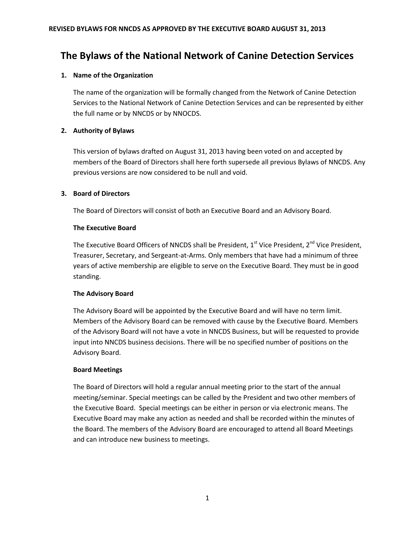# **The Bylaws of the National Network of Canine Detection Services**

# **1. Name of the Organization**

The name of the organization will be formally changed from the Network of Canine Detection Services to the National Network of Canine Detection Services and can be represented by either the full name or by NNCDS or by NNOCDS.

# **2. Authority of Bylaws**

This version of bylaws drafted on August 31, 2013 having been voted on and accepted by members of the Board of Directors shall here forth supersede all previous Bylaws of NNCDS. Any previous versions are now considered to be null and void.

# **3. Board of Directors**

The Board of Directors will consist of both an Executive Board and an Advisory Board.

# **The Executive Board**

The Executive Board Officers of NNCDS shall be President,  $1<sup>st</sup>$  Vice President,  $2<sup>nd</sup>$  Vice President, Treasurer, Secretary, and Sergeant-at-Arms. Only members that have had a minimum of three years of active membership are eligible to serve on the Executive Board. They must be in good standing.

# **The Advisory Board**

The Advisory Board will be appointed by the Executive Board and will have no term limit. Members of the Advisory Board can be removed with cause by the Executive Board. Members of the Advisory Board will not have a vote in NNCDS Business, but will be requested to provide input into NNCDS business decisions. There will be no specified number of positions on the Advisory Board.

# **Board Meetings**

The Board of Directors will hold a regular annual meeting prior to the start of the annual meeting/seminar. Special meetings can be called by the President and two other members of the Executive Board. Special meetings can be either in person or via electronic means. The Executive Board may make any action as needed and shall be recorded within the minutes of the Board. The members of the Advisory Board are encouraged to attend all Board Meetings and can introduce new business to meetings.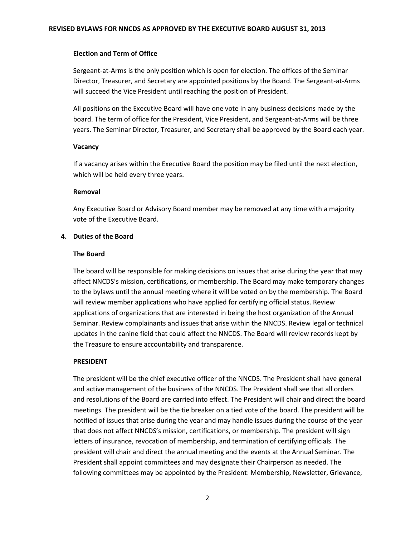#### **Election and Term of Office**

Sergeant-at-Arms is the only position which is open for election. The offices of the Seminar Director, Treasurer, and Secretary are appointed positions by the Board. The Sergeant-at-Arms will succeed the Vice President until reaching the position of President.

All positions on the Executive Board will have one vote in any business decisions made by the board. The term of office for the President, Vice President, and Sergeant-at-Arms will be three years. The Seminar Director, Treasurer, and Secretary shall be approved by the Board each year.

#### **Vacancy**

If a vacancy arises within the Executive Board the position may be filed until the next election, which will be held every three years.

#### **Removal**

Any Executive Board or Advisory Board member may be removed at any time with a majority vote of the Executive Board.

# **4. Duties of the Board**

#### **The Board**

The board will be responsible for making decisions on issues that arise during the year that may affect NNCDS's mission, certifications, or membership. The Board may make temporary changes to the bylaws until the annual meeting where it will be voted on by the membership. The Board will review member applications who have applied for certifying official status. Review applications of organizations that are interested in being the host organization of the Annual Seminar. Review complainants and issues that arise within the NNCDS. Review legal or technical updates in the canine field that could affect the NNCDS. The Board will review records kept by the Treasure to ensure accountability and transparence.

#### **PRESIDENT**

The president will be the chief executive officer of the NNCDS. The President shall have general and active management of the business of the NNCDS. The President shall see that all orders and resolutions of the Board are carried into effect. The President will chair and direct the board meetings. The president will be the tie breaker on a tied vote of the board. The president will be notified of issues that arise during the year and may handle issues during the course of the year that does not affect NNCDS's mission, certifications, or membership. The president will sign letters of insurance, revocation of membership, and termination of certifying officials. The president will chair and direct the annual meeting and the events at the Annual Seminar. The President shall appoint committees and may designate their Chairperson as needed. The following committees may be appointed by the President: Membership, Newsletter, Grievance,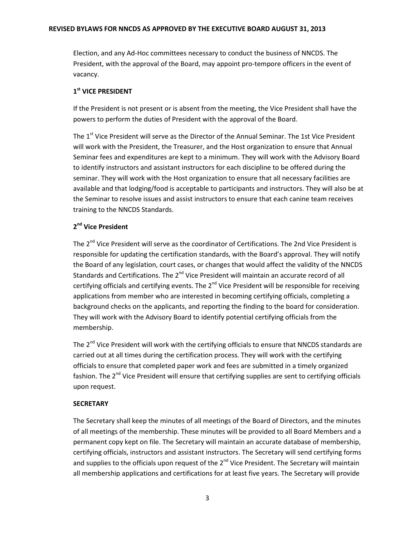#### **REVISED BYLAWS FOR NNCDS AS APPROVED BY THE EXECUTIVE BOARD AUGUST 31, 2013**

Election, and any Ad-Hoc committees necessary to conduct the business of NNCDS. The President, with the approval of the Board, may appoint pro-tempore officers in the event of vacancy.

# **1 st VICE PRESIDENT**

If the President is not present or is absent from the meeting, the Vice President shall have the powers to perform the duties of President with the approval of the Board.

The 1<sup>st</sup> Vice President will serve as the Director of the Annual Seminar. The 1st Vice President will work with the President, the Treasurer, and the Host organization to ensure that Annual Seminar fees and expenditures are kept to a minimum. They will work with the Advisory Board to identify instructors and assistant instructors for each discipline to be offered during the seminar. They will work with the Host organization to ensure that all necessary facilities are available and that lodging/food is acceptable to participants and instructors. They will also be at the Seminar to resolve issues and assist instructors to ensure that each canine team receives training to the NNCDS Standards.

# **2 nd Vice President**

The  $2^{nd}$  Vice President will serve as the coordinator of Certifications. The 2nd Vice President is responsible for updating the certification standards, with the Board's approval. They will notify the Board of any legislation, court cases, or changes that would affect the validity of the NNCDS Standards and Certifications. The 2<sup>nd</sup> Vice President will maintain an accurate record of all certifying officials and certifying events. The  $2^{nd}$  Vice President will be responsible for receiving applications from member who are interested in becoming certifying officials, completing a background checks on the applicants, and reporting the finding to the board for consideration. They will work with the Advisory Board to identify potential certifying officials from the membership.

The 2<sup>nd</sup> Vice President will work with the certifying officials to ensure that NNCDS standards are carried out at all times during the certification process. They will work with the certifying officials to ensure that completed paper work and fees are submitted in a timely organized fashion. The 2<sup>nd</sup> Vice President will ensure that certifying supplies are sent to certifying officials upon request.

# **SECRETARY**

The Secretary shall keep the minutes of all meetings of the Board of Directors, and the minutes of all meetings of the membership. These minutes will be provided to all Board Members and a permanent copy kept on file. The Secretary will maintain an accurate database of membership, certifying officials, instructors and assistant instructors. The Secretary will send certifying forms and supplies to the officials upon request of the  $2^{nd}$  Vice President. The Secretary will maintain all membership applications and certifications for at least five years. The Secretary will provide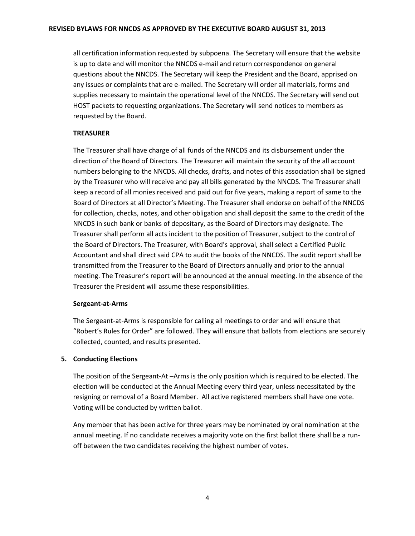#### **REVISED BYLAWS FOR NNCDS AS APPROVED BY THE EXECUTIVE BOARD AUGUST 31, 2013**

all certification information requested by subpoena. The Secretary will ensure that the website is up to date and will monitor the NNCDS e-mail and return correspondence on general questions about the NNCDS. The Secretary will keep the President and the Board, apprised on any issues or complaints that are e-mailed. The Secretary will order all materials, forms and supplies necessary to maintain the operational level of the NNCDS. The Secretary will send out HOST packets to requesting organizations. The Secretary will send notices to members as requested by the Board.

# **TREASURER**

The Treasurer shall have charge of all funds of the NNCDS and its disbursement under the direction of the Board of Directors. The Treasurer will maintain the security of the all account numbers belonging to the NNCDS. All checks, drafts, and notes of this association shall be signed by the Treasurer who will receive and pay all bills generated by the NNCDS. The Treasurer shall keep a record of all monies received and paid out for five years, making a report of same to the Board of Directors at all Director's Meeting. The Treasurer shall endorse on behalf of the NNCDS for collection, checks, notes, and other obligation and shall deposit the same to the credit of the NNCDS in such bank or banks of depositary, as the Board of Directors may designate. The Treasurer shall perform all acts incident to the position of Treasurer, subject to the control of the Board of Directors. The Treasurer, with Board's approval, shall select a Certified Public Accountant and shall direct said CPA to audit the books of the NNCDS. The audit report shall be transmitted from the Treasurer to the Board of Directors annually and prior to the annual meeting. The Treasurer's report will be announced at the annual meeting. In the absence of the Treasurer the President will assume these responsibilities.

# **Sergeant-at-Arms**

The Sergeant-at-Arms is responsible for calling all meetings to order and will ensure that "Robert's Rules for Order" are followed. They will ensure that ballots from elections are securely collected, counted, and results presented.

# **5. Conducting Elections**

The position of the Sergeant-At –Arms is the only position which is required to be elected. The election will be conducted at the Annual Meeting every third year, unless necessitated by the resigning or removal of a Board Member. All active registered members shall have one vote. Voting will be conducted by written ballot.

Any member that has been active for three years may be nominated by oral nomination at the annual meeting. If no candidate receives a majority vote on the first ballot there shall be a runoff between the two candidates receiving the highest number of votes.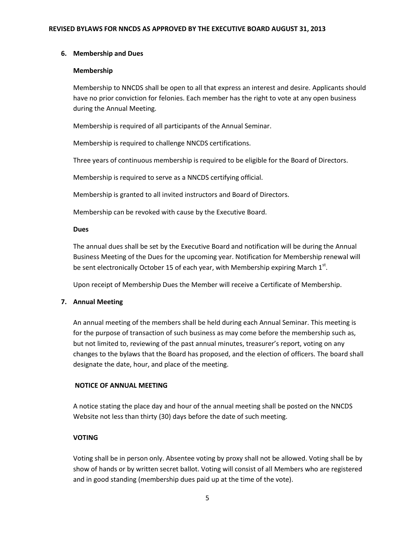#### **6. Membership and Dues**

#### **Membership**

Membership to NNCDS shall be open to all that express an interest and desire. Applicants should have no prior conviction for felonies. Each member has the right to vote at any open business during the Annual Meeting.

Membership is required of all participants of the Annual Seminar.

Membership is required to challenge NNCDS certifications.

Three years of continuous membership is required to be eligible for the Board of Directors.

Membership is required to serve as a NNCDS certifying official.

Membership is granted to all invited instructors and Board of Directors.

Membership can be revoked with cause by the Executive Board.

#### **Dues**

The annual dues shall be set by the Executive Board and notification will be during the Annual Business Meeting of the Dues for the upcoming year. Notification for Membership renewal will be sent electronically October 15 of each year, with Membership expiring March  $1^{st}$ .

Upon receipt of Membership Dues the Member will receive a Certificate of Membership.

# **7. Annual Meeting**

An annual meeting of the members shall be held during each Annual Seminar. This meeting is for the purpose of transaction of such business as may come before the membership such as, but not limited to, reviewing of the past annual minutes, treasurer's report, voting on any changes to the bylaws that the Board has proposed, and the election of officers. The board shall designate the date, hour, and place of the meeting.

# **NOTICE OF ANNUAL MEETING**

A notice stating the place day and hour of the annual meeting shall be posted on the NNCDS Website not less than thirty (30) days before the date of such meeting.

# **VOTING**

Voting shall be in person only. Absentee voting by proxy shall not be allowed. Voting shall be by show of hands or by written secret ballot. Voting will consist of all Members who are registered and in good standing (membership dues paid up at the time of the vote).